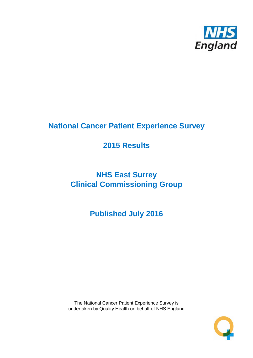

# **National Cancer Patient Experience Survey**

# **2015 Results**

# **NHS East Surrey Clinical Commissioning Group**

**Published July 2016**

The National Cancer Patient Experience Survey is undertaken by Quality Health on behalf of NHS England

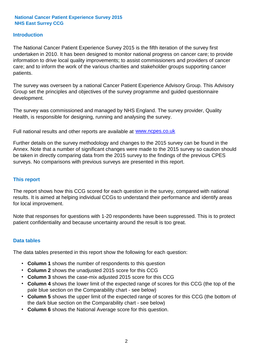### **Introduction**

The National Cancer Patient Experience Survey 2015 is the fifth iteration of the survey first undertaken in 2010. It has been designed to monitor national progress on cancer care; to provide information to drive local quality improvements; to assist commissioners and providers of cancer care; and to inform the work of the various charities and stakeholder groups supporting cancer patients.

The survey was overseen by a national Cancer Patient Experience Advisory Group. This Advisory Group set the principles and objectives of the survey programme and guided questionnaire development.

The survey was commissioned and managed by NHS England. The survey provider, Quality Health, is responsible for designing, running and analysing the survey.

Full national results and other reports are available at www.ncpes.co.uk

Further details on the survey methodology and changes to the 2015 survey can be found in the Annex. Note that a number of significant changes were made to the 2015 survey so caution should be taken in directly comparing data from the 2015 survey to the findings of the previous CPES surveys. No comparisons with previous surveys are presented in this report.

#### **This report**

The report shows how this CCG scored for each question in the survey, compared with national results. It is aimed at helping individual CCGs to understand their performance and identify areas for local improvement.

Note that responses for questions with 1-20 respondents have been suppressed. This is to protect patient confidentiality and because uncertainty around the result is too great.

#### **Data tables**

The data tables presented in this report show the following for each question:

- **Column 1** shows the number of respondents to this question
- **Column 2** shows the unadjusted 2015 score for this CCG
- **Column 3** shows the case-mix adjusted 2015 score for this CCG
- **Column 4** shows the lower limit of the expected range of scores for this CCG (the top of the pale blue section on the Comparability chart - see below)
- **Column 5** shows the upper limit of the expected range of scores for this CCG (the bottom of the dark blue section on the Comparability chart - see below)
- **Column 6** shows the National Average score for this question.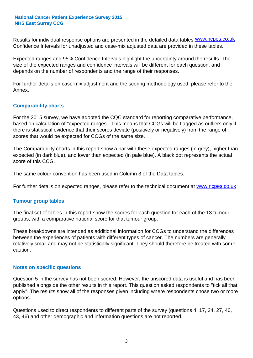Results for individual response options are presented in the detailed data tables **WWW.ncpes.co.uk** Confidence Intervals for unadjusted and case-mix adjusted data are provided in these tables.

Expected ranges and 95% Confidence Intervals highlight the uncertainty around the results. The size of the expected ranges and confidence intervals will be different for each question, and depends on the number of respondents and the range of their responses.

For further details on case-mix adjustment and the scoring methodology used, please refer to the Annex.

### **Comparability charts**

For the 2015 survey, we have adopted the CQC standard for reporting comparative performance, based on calculation of "expected ranges". This means that CCGs will be flagged as outliers only if there is statistical evidence that their scores deviate (positively or negatively) from the range of scores that would be expected for CCGs of the same size.

The Comparability charts in this report show a bar with these expected ranges (in grey), higher than expected (in dark blue), and lower than expected (in pale blue). A black dot represents the actual score of this CCG.

The same colour convention has been used in Column 3 of the Data tables.

For further details on expected ranges, please refer to the technical document at **www.ncpes.co.uk** 

#### **Tumour group tables**

The final set of tables in this report show the scores for each question for each of the 13 tumour groups, with a comparative national score for that tumour group.

These breakdowns are intended as additional information for CCGs to understand the differences between the experiences of patients with different types of cancer. The numbers are generally relatively small and may not be statistically significant. They should therefore be treated with some caution.

#### **Notes on specific questions**

Question 5 in the survey has not been scored. However, the unscored data is useful and has been published alongside the other results in this report. This question asked respondents to "tick all that apply". The results show all of the responses given including where respondents chose two or more options.

Questions used to direct respondents to different parts of the survey (questions 4, 17, 24, 27, 40, 43, 46) and other demographic and information questions are not reported.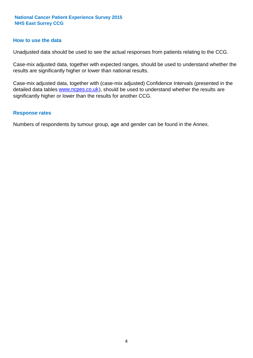#### **How to use the data**

Unadjusted data should be used to see the actual responses from patients relating to the CCG.

Case-mix adjusted data, together with expected ranges, should be used to understand whether the results are significantly higher or lower than national results.

Case-mix adjusted data, together with (case-mix adjusted) Confidence Intervals (presented in the detailed data tables **www.ncpes.co.uk**), should be used to understand whether the results are significantly higher or lower than the results for another CCG.

#### **Response rates**

Numbers of respondents by tumour group, age and gender can be found in the Annex.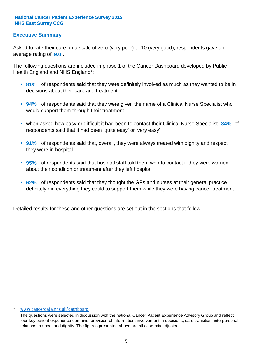# **Executive Summary**

average rating of **9.0**. Asked to rate their care on a scale of zero (very poor) to 10 (very good), respondents gave an

The following questions are included in phase 1 of the Cancer Dashboard developed by Public Health England and NHS England\*:

- **81%** of respondents said that they were definitely involved as much as they wanted to be in decisions about their care and treatment
- **94%** of respondents said that they were given the name of a Clinical Nurse Specialist who would support them through their treatment
- when asked how easy or difficult it had been to contact their Clinical Nurse Specialist 84% of respondents said that it had been 'quite easy' or 'very easy'
- **91%** of respondents said that, overall, they were always treated with dignity and respect they were in hospital
- **95%** of respondents said that hospital staff told them who to contact if they were worried about their condition or treatment after they left hospital
- **62%** of respondents said that they thought the GPs and nurses at their general practice definitely did everything they could to support them while they were having cancer treatment.

Detailed results for these and other questions are set out in the sections that follow.

#### www.cancerdata.nhs.uk/dashboard

The questions were selected in discussion with the national Cancer Patient Experience Advisory Group and reflect four key patient experience domains: provision of information; involvement in decisions; care transition; interpersonal relations, respect and dignity. The figures presented above are all case-mix adjusted.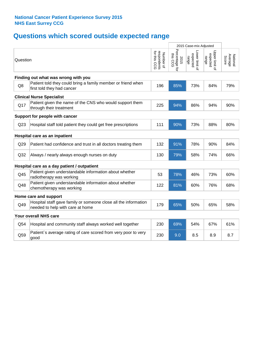# **Questions which scored outside expected range**

|                               |                                                                                                     |                                          |                                    | 2015 Case-mix Adjusted              |                                     |                              |
|-------------------------------|-----------------------------------------------------------------------------------------------------|------------------------------------------|------------------------------------|-------------------------------------|-------------------------------------|------------------------------|
| Question                      |                                                                                                     | respondents<br>for this CCG<br>Number of | Percentage for<br>this CCG<br>2015 | -ower limit of<br>expected<br>range | Upper limit of<br>expected<br>range | Average<br>National<br>Score |
|                               | Finding out what was wrong with you                                                                 |                                          |                                    |                                     |                                     |                              |
| Q8                            | Patient told they could bring a family member or friend when<br>first told they had cancer          | 196                                      | 85%                                | 73%                                 | 84%                                 | 79%                          |
|                               | <b>Clinical Nurse Specialist</b>                                                                    |                                          |                                    |                                     |                                     |                              |
| Q17                           | Patient given the name of the CNS who would support them<br>through their treatment                 | 225                                      | 94%                                | 86%                                 | 94%                                 | 90%                          |
|                               | Support for people with cancer                                                                      |                                          |                                    |                                     |                                     |                              |
| Q <sub>23</sub>               | Hospital staff told patient they could get free prescriptions                                       | 111                                      | 90%                                | 73%                                 | 88%                                 | 80%                          |
| Hospital care as an inpatient |                                                                                                     |                                          |                                    |                                     |                                     |                              |
| Q29                           | Patient had confidence and trust in all doctors treating them                                       | 132                                      | 91%                                | 78%                                 | 90%                                 | 84%                          |
| Q32                           | Always / nearly always enough nurses on duty                                                        | 130                                      | 79%                                | 58%                                 | 74%                                 | 66%                          |
|                               | Hospital care as a day patient / outpatient                                                         |                                          |                                    |                                     |                                     |                              |
| Q45                           | Patient given understandable information about whether<br>radiotherapy was working                  | 53                                       | 78%                                | 46%                                 | 73%                                 | 60%                          |
| Q48                           | Patient given understandable information about whether<br>chemotherapy was working                  | 122                                      | 81%                                | 60%                                 | 76%                                 | 68%                          |
|                               | Home care and support                                                                               |                                          |                                    |                                     |                                     |                              |
| Q49                           | Hospital staff gave family or someone close all the information<br>needed to help with care at home | 179                                      | 65%                                | 50%                                 | 65%                                 | 58%                          |
|                               | Your overall NHS care                                                                               |                                          |                                    |                                     |                                     |                              |
| Q54                           | Hospital and community staff always worked well together                                            | 230                                      | 69%                                | 54%                                 | 67%                                 | 61%                          |
| Q59                           | Patient's average rating of care scored from very poor to very<br>good                              | 230                                      | 9.0                                | 8.5                                 | 8.9                                 | 8.7                          |
|                               |                                                                                                     |                                          |                                    |                                     |                                     |                              |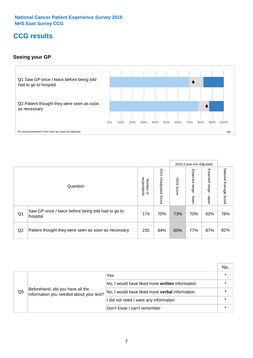# **CCG results**

# **Seeing your GP**



|    |                                                                |                                         |                             |               | 2015 Case-mix Adjusted     |                            |                           |
|----|----------------------------------------------------------------|-----------------------------------------|-----------------------------|---------------|----------------------------|----------------------------|---------------------------|
|    | Question                                                       | respondents<br>Number<br>$\overline{a}$ | 2015<br>Unadjusted<br>Score | 2015<br>Score | Expected<br>range<br>lower | Expected<br>range<br>dpper | National Average<br>Score |
| Q1 | Saw GP once / twice before being told had to go to<br>hospital | 179                                     | 70%                         | 73%           | 70%                        | 82%                        | 76%                       |
| Q2 | Patient thought they were seen as soon as necessary            | 235                                     | 84%                         | 85%           | 77%                        | 87%                        | 82%                       |

|    |                                                                             |                                                 | No. |
|----|-----------------------------------------------------------------------------|-------------------------------------------------|-----|
|    |                                                                             | Yes                                             |     |
|    | Beforehand, did you have all the<br>information you needed about your test? | No, I would have liked more written information |     |
| Q5 |                                                                             | No, I would have liked more verbal information  |     |
|    |                                                                             | I did not need / want any information           |     |
|    |                                                                             | Don't know / can't remember                     |     |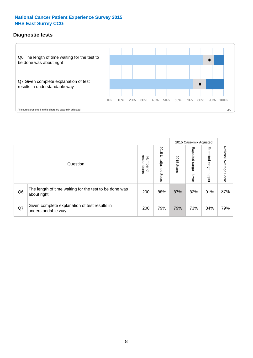# **Diagnostic tests**



|                |                                                                       |                                       |                             |               | 2015 Case-mix Adjusted  |                         |                           |
|----------------|-----------------------------------------------------------------------|---------------------------------------|-----------------------------|---------------|-------------------------|-------------------------|---------------------------|
|                | Question                                                              | respondents<br>Number<br>$\mathbf{Q}$ | 2015<br>Unadjusted<br>Score | 2015<br>Score | Expected range<br>lower | Expected range<br>nbber | National Average<br>Score |
| Q <sub>6</sub> | The length of time waiting for the test to be done was<br>about right | 200                                   | 88%                         | 87%           | 82%                     | 91%                     | 87%                       |
| Q7             | Given complete explanation of test results in<br>understandable way   | 200                                   | 79%                         | 79%           | 73%                     | 84%                     | 79%                       |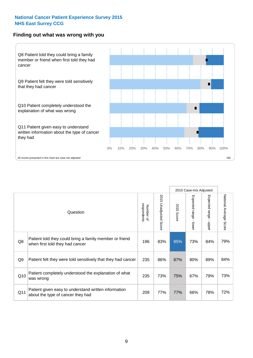#### **Finding out what was wrong with you**



|     |                                                                                            |                          |                          |                      | 2015 Case-mix Adjusted                    |                                         |                        |
|-----|--------------------------------------------------------------------------------------------|--------------------------|--------------------------|----------------------|-------------------------------------------|-----------------------------------------|------------------------|
|     | Question                                                                                   | respondents<br>Number of | 2015 Unadjusted<br>Score | 2015<br><b>Score</b> | Expected range<br>$\blacksquare$<br>lower | Expected range<br>$\mathbf{r}$<br>nbber | National Average Score |
| Q8  | Patient told they could bring a family member or friend<br>when first told they had cancer | 196                      | 83%                      | 85%                  | 73%                                       | 84%                                     | 79%                    |
| Q9  | Patient felt they were told sensitively that they had cancer                               | 235                      | 86%                      | 87%                  | 80%                                       | 89%                                     | 84%                    |
| Q10 | Patient completely understood the explanation of what<br>was wrong                         | 235                      | 73%                      | 75%                  | 67%                                       | 79%                                     | 73%                    |
| Q11 | Patient given easy to understand written information<br>about the type of cancer they had  | 209                      | 77%                      | 77%                  | 66%                                       | 78%                                     | 72%                    |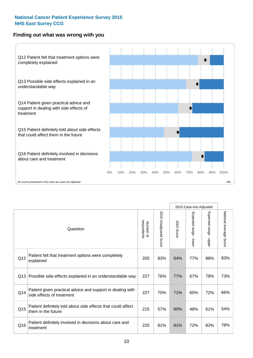## **Finding out what was wrong with you**



|          |                                                                                         |                          |                          |               | 2015 Case-mix Adjusted                    |                           |                        |
|----------|-----------------------------------------------------------------------------------------|--------------------------|--------------------------|---------------|-------------------------------------------|---------------------------|------------------------|
| Question |                                                                                         | Number of<br>respondents | 2015<br>Unadjusted Score | 2015<br>Score | Expected range<br>$\blacksquare$<br>lower | Expected range<br>- nbber | National Average Score |
| Q12      | Patient felt that treatment options were completely<br>explained                        | 205                      | 83%                      | 84%           | 77%                                       | 88%                       | 83%                    |
| Q13      | Possible side effects explained in an understandable way                                | 227                      | 76%                      | 77%           | 67%                                       | 79%                       | 73%                    |
| Q14      | Patient given practical advice and support in dealing with<br>side effects of treatment | 227                      | 70%                      | 71%           | 60%                                       | 72%                       | 66%                    |
| Q15      | Patient definitely told about side effects that could affect<br>them in the future      | 215                      | 57%                      | 60%           | 48%                                       | 61%                       | 54%                    |
| Q16      | Patient definitely involved in decisions about care and<br>treatment                    | 225                      | 81%                      | 81%           | 72%                                       | 83%                       | 78%                    |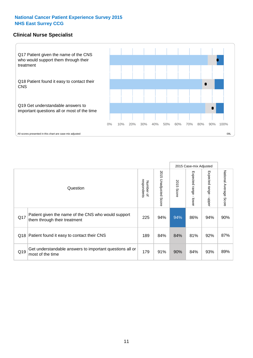## **Clinical Nurse Specialist**



|     |                                                                                     |                          |                       |               | 2015 Case-mix Adjusted  |                         |                        |
|-----|-------------------------------------------------------------------------------------|--------------------------|-----------------------|---------------|-------------------------|-------------------------|------------------------|
|     | Question                                                                            | respondents<br>Number of | 2015 Unadjusted Score | 2015<br>Score | Expected range<br>lower | Expected range<br>nbber | National Average Score |
| Q17 | Patient given the name of the CNS who would support<br>them through their treatment | 225                      | 94%                   | 94%           | 86%                     | 94%                     | 90%                    |
|     | Q18 Patient found it easy to contact their CNS                                      | 189                      | 84%                   | 84%           | 81%                     | 92%                     | 87%                    |
| Q19 | Get understandable answers to important questions all or<br>most of the time        | 179                      | 91%                   | 90%           | 84%                     | 93%                     | 89%                    |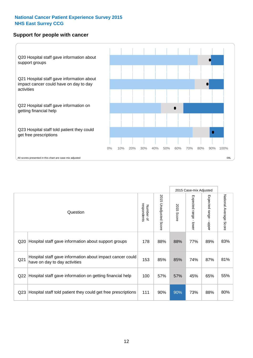### **Support for people with cancer**



2015 Case-mix Adjusted National Average Score 2015 Unadjusted Score Expected range - lower Expected range - upper National Average Score 2015 Unadjusted Score Expected range - upper Expected range - lower Number of<br>respondents respondents 2015 Score 2015 Score Number of Question Q20 Hospital staff gave information about support groups  $\begin{array}{|l|c|c|c|c|c|}\n\hline\n178 & 88\% & 88\% & 77\% & 89\% & 83\% \\\hline\n\end{array}$ Q21 153 85% 85% 74% 87% Hospital staff gave information about impact cancer could have on day to day activities but about impact cancer could a state in the state in the state on day to day activities Q22 Hospital staff gave information on getting financial help  $\left| 100 \right| 57\%$  | 57% | 45% | 65% | 55% Q23 Hospital staff told patient they could get free prescriptions | 111 | 90% | 90% | 73% | 88% | 80%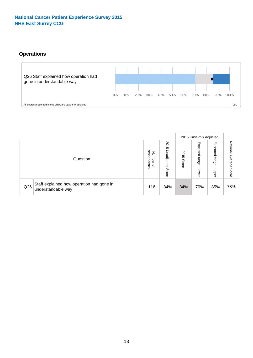# **Operations**



|     |                                                                 |                                         |                             |               | 2015 Case-mix Adjusted     |                           |                              |
|-----|-----------------------------------------------------------------|-----------------------------------------|-----------------------------|---------------|----------------------------|---------------------------|------------------------------|
|     | Question                                                        | respondents<br>Number<br>$\overline{a}$ | 2015<br>Unadjusted<br>Score | 2015<br>Score | Expected<br>range<br>lower | Expected<br>range<br>ddoe | National<br>Average<br>Score |
| Q26 | Staff explained how operation had gone in<br>understandable way | 116                                     | 84%                         | 84%           | 70%                        | 85%                       | 78%                          |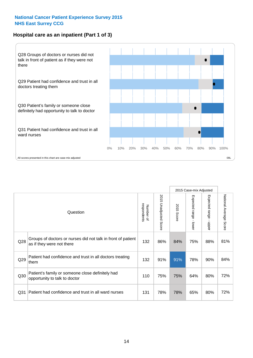# **Hospital care as an inpatient (Part 1 of 3)**



All scores presented in this chart are case-mix adjusted  $09L$ 

|                 |                                                                                           |                          |                       |                      | 2015 Case-mix Adjusted                    |                                           |                        |
|-----------------|-------------------------------------------------------------------------------------------|--------------------------|-----------------------|----------------------|-------------------------------------------|-------------------------------------------|------------------------|
|                 | Question                                                                                  | respondents<br>Number of | 2015 Unadjusted Score | 2015<br><b>Score</b> | Expected range<br>$\blacksquare$<br>lower | Expected range<br>$\blacksquare$<br>nbber | National Average Score |
| Q28             | Groups of doctors or nurses did not talk in front of patient<br>as if they were not there | 132                      | 86%                   | 84%                  | 75%                                       | 88%                                       | 81%                    |
| Q29             | Patient had confidence and trust in all doctors treating<br>them                          | 132                      | 91%                   | 91%                  | 78%                                       | 90%                                       | 84%                    |
| Q30             | Patient's family or someone close definitely had<br>opportunity to talk to doctor         | 110                      | 75%                   | 75%                  | 64%                                       | 80%                                       | 72%                    |
| Q <sub>31</sub> | Patient had confidence and trust in all ward nurses                                       | 131                      | 78%                   | 78%                  | 65%                                       | 80%                                       | 72%                    |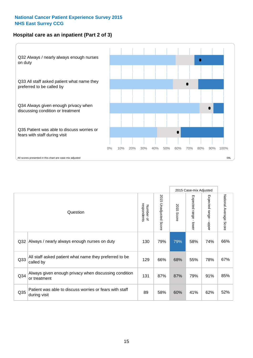## **Hospital care as an inpatient (Part 2 of 3)**



|                 |                                                                         |                          |                                 |                      | 2015 Case-mix Adjusted  |                           |                        |
|-----------------|-------------------------------------------------------------------------|--------------------------|---------------------------------|----------------------|-------------------------|---------------------------|------------------------|
|                 | Question                                                                | respondents<br>Number of | 2015<br><b>Unadjusted Score</b> | 2015<br><b>Score</b> | Expected range<br>lower | Expected range<br>- nbbeu | National Average Score |
| Q32             | Always / nearly always enough nurses on duty                            | 130                      | 79%                             | 79%                  | 58%                     | 74%                       | 66%                    |
| Q33             | All staff asked patient what name they preferred to be<br>called by     | 129                      | 66%                             | 68%                  | 55%                     | 78%                       | 67%                    |
| Q34             | Always given enough privacy when discussing condition<br>or treatment   | 131                      | 87%                             | 87%                  | 79%                     | 91%                       | 85%                    |
| Q <sub>35</sub> | Patient was able to discuss worries or fears with staff<br>during visit | 89                       | 58%                             | 60%                  | 41%                     | 62%                       | 52%                    |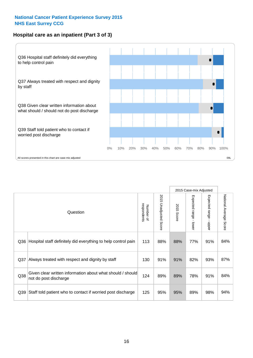# **Hospital care as an inpatient (Part 3 of 3)**



|                 |                                                                                     |                          |                                 |               | 2015 Case-mix Adjusted                    |                           |                        |
|-----------------|-------------------------------------------------------------------------------------|--------------------------|---------------------------------|---------------|-------------------------------------------|---------------------------|------------------------|
|                 | Question                                                                            | Number of<br>respondents | 2015<br><b>Unadjusted Score</b> | 2015<br>Score | Expected range<br>$\blacksquare$<br>lower | Expected range -<br>nbber | National Average Score |
| Q36             | Hospital staff definitely did everything to help control pain                       | 113                      | 88%                             | 88%           | 77%                                       | 91%                       | 84%                    |
| Q <sub>37</sub> | Always treated with respect and dignity by staff                                    | 130                      | 91%                             | 91%           | 82%                                       | 93%                       | 87%                    |
| Q38             | Given clear written information about what should / should<br>not do post discharge | 124                      | 89%                             | 89%           | 78%                                       | 91%                       | 84%                    |
| Q39             | Staff told patient who to contact if worried post discharge                         | 125                      | 95%                             | 95%           | 89%                                       | 98%                       | 94%                    |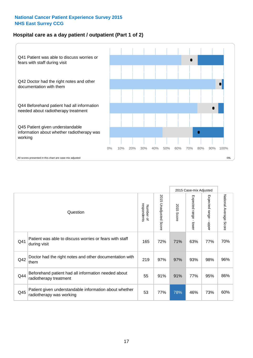# **Hospital care as a day patient / outpatient (Part 1 of 2)**



|     |                                                                                    |                          |                                 |                      | 2015 Case-mix Adjusted                  |                                         |                        |
|-----|------------------------------------------------------------------------------------|--------------------------|---------------------------------|----------------------|-----------------------------------------|-----------------------------------------|------------------------|
|     | Question                                                                           | respondents<br>Number of | 2015<br><b>Unadjusted Score</b> | 2015<br><b>Score</b> | Expected range<br>$\mathbf{r}$<br>lower | Expected range<br>$\mathbf{I}$<br>nbber | National Average Score |
| Q41 | Patient was able to discuss worries or fears with staff<br>during visit            | 165                      | 72%                             | 71%                  | 63%                                     | 77%                                     | 70%                    |
| Q42 | Doctor had the right notes and other documentation with<br>them                    | 219                      | 97%                             | 97%                  | 93%                                     | 98%                                     | 96%                    |
| Q44 | Beforehand patient had all information needed about<br>radiotherapy treatment      | 55                       | 91%                             | 91%                  | 77%                                     | 95%                                     | 86%                    |
| Q45 | Patient given understandable information about whether<br>radiotherapy was working | 53                       | 77%                             | 78%                  | 46%                                     | 73%                                     | 60%                    |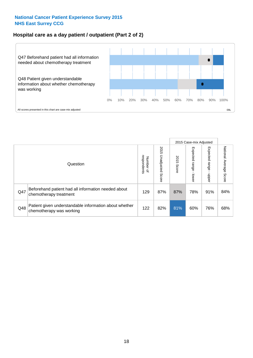## **Hospital care as a day patient / outpatient (Part 2 of 2)**



|     |                                                                                    |                             |                             |               | 2015 Case-mix Adjusted            |                         |                           |
|-----|------------------------------------------------------------------------------------|-----------------------------|-----------------------------|---------------|-----------------------------------|-------------------------|---------------------------|
|     | Question                                                                           | respondents<br>Number<br>டி | 2015<br>Unadjusted<br>Score | 2015<br>Score | Expected<br><b>Lange</b><br>lower | Expected range<br>doper | National Average<br>Score |
| Q47 | Beforehand patient had all information needed about<br>chemotherapy treatment      | 129                         | 87%                         | 87%           | 78%                               | 91%                     | 84%                       |
| Q48 | Patient given understandable information about whether<br>chemotherapy was working | 122                         | 82%                         | 81%           | 60%                               | 76%                     | 68%                       |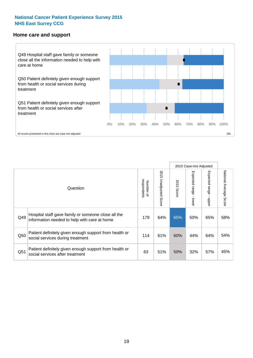#### **Home care and support**



2015 Case-mix Adjusted 2015 Unadjusted Score Expected range - upper National Average Score 2015 Unadjusted Score Expected range - lower National Average Score Expected range - lower Expected range - upper Number of<br>respondents respondents 2015 Score 2015 Score Number of Question Hospital staff gave family or someone close all the  $Q49$  information needed to help with care at home  $Q49$  64% 65% 50% 65% 65% 58% Patient definitely given enough support from health or  $\frac{114}{\sqrt{50}}$  social services during treatment  $\frac{114}{\sqrt{50}}$  61% 60% 44% 64% 54% Patient definitely given enough support from health or  $\frac{32}{100}$  social services after treatment  $\frac{32}{100}$  63  $\frac{1}{100}$  51% 50% 32% 57% 45%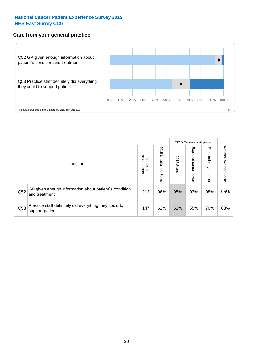### **Care from your general practice**



|     |                                                                           |                                       |                             |               | 2015 Case-mix Adjusted  |                         |                           |
|-----|---------------------------------------------------------------------------|---------------------------------------|-----------------------------|---------------|-------------------------|-------------------------|---------------------------|
|     | Question                                                                  | respondents<br>Number<br>$\mathbf{Q}$ | 2015<br>Unadjusted<br>Score | 2015<br>Score | Expected range<br>lower | Expected range<br>doper | National Average<br>Score |
| Q52 | GP given enough information about patient's condition<br>and treatment    | 213                                   | 96%                         | 95%           | 93%                     | 98%                     | 95%                       |
| Q53 | Practice staff definitely did everything they could to<br>support patient | 147                                   | 62%                         | 62%           | 55%                     | 70%                     | 63%                       |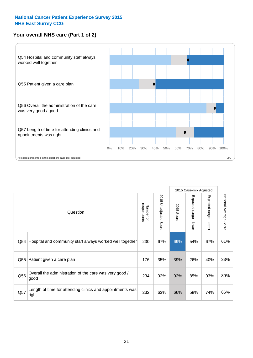# **Your overall NHS care (Part 1 of 2)**



|     |                                                                    |                          |                                 |               | 2015 Case-mix Adjusted                    |                           |                        |
|-----|--------------------------------------------------------------------|--------------------------|---------------------------------|---------------|-------------------------------------------|---------------------------|------------------------|
|     | Question                                                           | respondents<br>Number of | 2015<br><b>Unadjusted Score</b> | 2015<br>Score | Expected range<br>$\blacksquare$<br>lower | Expected range<br>- nbber | National Average Score |
| Q54 | Hospital and community staff always worked well together           | 230                      | 67%                             | 69%           | 54%                                       | 67%                       | 61%                    |
| Q55 | Patient given a care plan                                          | 176                      | 35%                             | 39%           | 26%                                       | 40%                       | 33%                    |
| Q56 | Overall the administration of the care was very good /<br>good     | 234                      | 92%                             | 92%           | 85%                                       | 93%                       | 89%                    |
| Q57 | Length of time for attending clinics and appointments was<br>right | 232                      | 63%                             | 66%           | 58%                                       | 74%                       | 66%                    |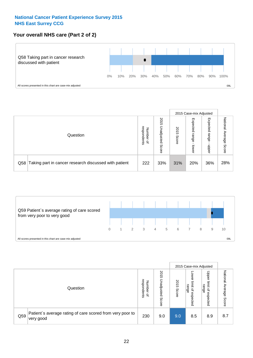# **Your overall NHS care (Part 2 of 2)**



|     |                                                       |                                   |                             |               | 2015 Case-mix Adjusted     |                            |                        |
|-----|-------------------------------------------------------|-----------------------------------|-----------------------------|---------------|----------------------------|----------------------------|------------------------|
|     | Question                                              | respondents<br>Number<br>$\Omega$ | 2015<br>Unadjusted<br>Score | 2015<br>Score | Expected<br>range<br>lower | Expected<br>range<br>nbber | National Average Score |
| Q58 | Taking part in cancer research discussed with patient | 222                               | 33%                         | 31%           | 20%                        | 36%                        | 28%                    |



|     |                                                                        |                                              |                             | 2015 Case-mix Adjusted |                                                           |                                                                 |                           |
|-----|------------------------------------------------------------------------|----------------------------------------------|-----------------------------|------------------------|-----------------------------------------------------------|-----------------------------------------------------------------|---------------------------|
|     | Question                                                               | respondents<br>Number<br>$\overline{\sigma}$ | 2015<br>Unadjusted<br>Score | 2015<br>Score          | OWer<br>limit<br>range<br>$\overline{\sigma}$<br>expected | Upper<br>limit<br>range<br>$\overline{\mathcal{C}}$<br>expected | National Average<br>Score |
| Q59 | Patient's average rating of care scored from very poor to<br>very good | 230                                          | 9.0                         | 9.0                    | 8.5                                                       | 8.9                                                             | 8.7                       |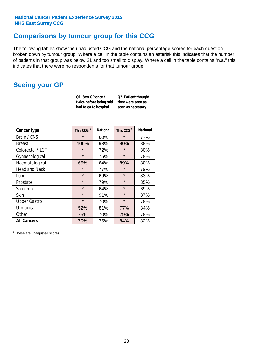# **Comparisons by tumour group for this CCG**

The following tables show the unadjusted CCG and the national percentage scores for each question broken down by tumour group. Where a cell in the table contains an asterisk this indicates that the number of patients in that group was below 21 and too small to display. Where a cell in the table contains "n.a." this indicates that there were no respondents for that tumour group.

# **Seeing your GP**

|                      | Q1. Saw GP once /<br>had to go to hospital | twice before being told | Q2. Patient thought<br>they were seen as<br>soon as necessary |                 |  |
|----------------------|--------------------------------------------|-------------------------|---------------------------------------------------------------|-----------------|--|
| <b>Cancer type</b>   | This CCG <sup>\$</sup>                     | <b>National</b>         | This CCG <sup>\$</sup>                                        | <b>National</b> |  |
| Brain / CNS          | $\star$                                    | 60%                     | $\star$                                                       | 77%             |  |
| <b>Breast</b>        | 100%                                       | 93%                     | 90%                                                           | 88%             |  |
| Colorectal / LGT     | $\star$                                    | 72%                     | $\star$                                                       | 80%             |  |
| Gynaecological       | $\star$                                    | 75%                     | $\star$                                                       | 78%             |  |
| Haematological       | 65%                                        | 64%                     | 89%                                                           | 80%             |  |
| <b>Head and Neck</b> | $\star$                                    | 77%                     | $\star$                                                       | 79%             |  |
| Lung                 | $\star$                                    | 69%                     | $\star$                                                       | 83%             |  |
| Prostate             | $\star$                                    | 79%                     | $\star$                                                       | 85%             |  |
| Sarcoma              | $\star$                                    | 64%                     | $\star$                                                       | 69%             |  |
| Skin                 | $\star$                                    | 91%                     | $\star$                                                       | 87%             |  |
| <b>Upper Gastro</b>  | $\star$                                    | 70%                     | $\star$                                                       | 78%             |  |
| Urological           | 52%                                        | 81%                     | 77%                                                           | 84%             |  |
| Other                | 75%                                        | 70%                     | 79%                                                           | 78%             |  |
| <b>All Cancers</b>   | 70%                                        | 76%                     | 84%                                                           | 82%             |  |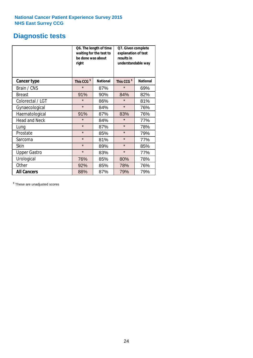# **Diagnostic tests**

|                      | Q6. The length of time<br>waiting for the test to<br>be done was about<br>right |                 |                        | Q7. Given complete<br>explanation of test<br>results in<br>understandable way |  |  |
|----------------------|---------------------------------------------------------------------------------|-----------------|------------------------|-------------------------------------------------------------------------------|--|--|
| <b>Cancer type</b>   | This CCG <sup>\$</sup>                                                          | <b>National</b> | This CCG <sup>\$</sup> | <b>National</b>                                                               |  |  |
| Brain / CNS          | $\star$                                                                         | 87%             | $\star$                | 69%                                                                           |  |  |
| <b>Breast</b>        | 91%                                                                             | 90%             | 84%                    | 82%                                                                           |  |  |
| Colorectal / LGT     | $\star$                                                                         | 86%             | $\star$                | 81%                                                                           |  |  |
| Gynaecological       | $\star$                                                                         | 84%             | $\star$                | 76%                                                                           |  |  |
| Haematological       | 91%                                                                             | 87%             | 83%                    | 76%                                                                           |  |  |
| <b>Head and Neck</b> | $\star$                                                                         | 84%             | $\star$                | 77%                                                                           |  |  |
| Lung                 | $\star$                                                                         | 87%             | $\star$                | 78%                                                                           |  |  |
| Prostate             | $\star$                                                                         | 85%             | $\star$                | 79%                                                                           |  |  |
| Sarcoma              | $\star$                                                                         | 81%             | $\star$                | 77%                                                                           |  |  |
| Skin                 | $\star$                                                                         | 89%             | $\star$                | 85%                                                                           |  |  |
| <b>Upper Gastro</b>  | $\star$                                                                         | 83%             | $\star$                | 77%                                                                           |  |  |
| Urological           | 76%                                                                             | 85%             | 80%                    | 78%                                                                           |  |  |
| Other                | 92%                                                                             | 85%             | 78%                    | 76%                                                                           |  |  |
| <b>All Cancers</b>   | 88%                                                                             | 87%             | 79%                    | 79%                                                                           |  |  |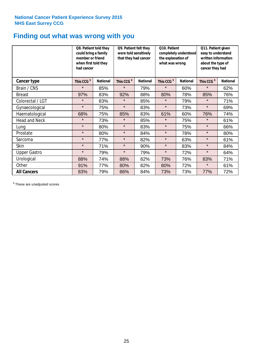# **Finding out what was wrong with you**

|                      | Q8. Patient told they<br>could bring a family<br>member or friend<br>when first told they<br>had cancer |                 | Q9. Patient felt they<br>were told sensitively<br>that they had cancer |                 | Q10. Patient<br>completely understood<br>the explanation of<br>what was wrong |                 | Q11. Patient given<br>easy to understand<br>written information<br>about the type of<br>cancer they had |                 |
|----------------------|---------------------------------------------------------------------------------------------------------|-----------------|------------------------------------------------------------------------|-----------------|-------------------------------------------------------------------------------|-----------------|---------------------------------------------------------------------------------------------------------|-----------------|
| Cancer type          | This CCG <sup>\$</sup>                                                                                  | <b>National</b> | This CCG <sup>\$</sup>                                                 | <b>National</b> | This CCG <sup>\$</sup>                                                        | <b>National</b> | This CCG <sup>\$</sup>                                                                                  | <b>National</b> |
| Brain / CNS          | $\star$                                                                                                 | 85%             | $\star$                                                                | 79%             | $\star$                                                                       | 60%             | $\star$                                                                                                 | 62%             |
| <b>Breast</b>        | 97%                                                                                                     | 83%             | 92%                                                                    | 88%             | 80%                                                                           | 78%             | 85%                                                                                                     | 76%             |
| Colorectal / LGT     | $\star$                                                                                                 | 83%             | $\star$                                                                | 85%             | $\star$                                                                       | 79%             | $\star$                                                                                                 | 71%             |
| Gynaecological       | $\star$                                                                                                 | 75%             | $\star$                                                                | 83%             | $\star$                                                                       | 73%             | $\star$                                                                                                 | 69%             |
| Haematological       | 68%                                                                                                     | 75%             | 85%                                                                    | 83%             | 61%                                                                           | 60%             | 76%                                                                                                     | 74%             |
| <b>Head and Neck</b> | $\star$                                                                                                 | 73%             | $\star$                                                                | 85%             | $\star$                                                                       | 75%             | $\star$                                                                                                 | 61%             |
| Lung                 | $\star$                                                                                                 | 80%             | $\star$                                                                | 83%             | $\star$                                                                       | 75%             | $\star$                                                                                                 | 66%             |
| Prostate             | $\star$                                                                                                 | 80%             | $\star$                                                                | 84%             | $\star$                                                                       | 78%             | $\star$                                                                                                 | 80%             |
| Sarcoma              | $\star$                                                                                                 | 77%             | $\star$                                                                | 82%             | $\star$                                                                       | 63%             | $\star$                                                                                                 | 61%             |
| Skin                 | $\star$                                                                                                 | 71%             | $\star$                                                                | 90%             | $\star$                                                                       | 83%             | $\star$                                                                                                 | 84%             |
| <b>Upper Gastro</b>  | $\star$                                                                                                 | 79%             | $\star$                                                                | 79%             | $\star$                                                                       | 72%             | $\star$                                                                                                 | 64%             |
| Urological           | 88%                                                                                                     | 74%             | 88%                                                                    | 82%             | 73%                                                                           | 76%             | 83%                                                                                                     | 71%             |
| Other                | 91%                                                                                                     | 77%             | 80%                                                                    | 82%             | 80%                                                                           | 72%             | $\star$                                                                                                 | 61%             |
| <b>All Cancers</b>   | 83%                                                                                                     | 79%             | 86%                                                                    | 84%             | 73%                                                                           | 73%             | 77%                                                                                                     | 72%             |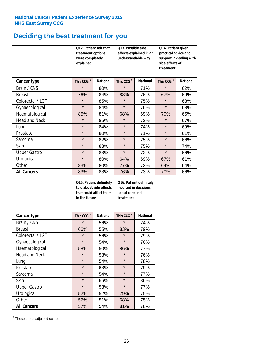# **Deciding the best treatment for you**

|                      | 012. Patient felt that<br>treatment options<br>were completely<br>explained |                 | O13. Possible side<br>understandable way | effects explained in an | Q14. Patient given<br>practical advice and<br>support in dealing with<br>side effects of<br>treatment |                 |  |
|----------------------|-----------------------------------------------------------------------------|-----------------|------------------------------------------|-------------------------|-------------------------------------------------------------------------------------------------------|-----------------|--|
| <b>Cancer type</b>   | This CCG <sup>\$</sup>                                                      | <b>National</b> | This CCG <sup>\$</sup>                   | <b>National</b>         | This CCG <sup>\$</sup>                                                                                | <b>National</b> |  |
| Brain / CNS          | $\star$                                                                     | 80%             | $\star$                                  | 71%                     | $\star$                                                                                               | 62%             |  |
| <b>Breast</b>        | 76%                                                                         | 84%             | 83%                                      | 76%                     | 67%                                                                                                   | 69%             |  |
| Colorectal / LGT     | $\star$                                                                     | 85%             | $\star$                                  | 75%                     | $\star$                                                                                               | 68%             |  |
| Gynaecological       | $\star$                                                                     | 84%             | $\star$                                  | 76%                     | $\star$                                                                                               | 68%             |  |
| Haematological       | 85%                                                                         | 81%             | 68%                                      | 69%                     | 70%                                                                                                   | 65%             |  |
| <b>Head and Neck</b> | $\star$                                                                     | 85%             | $\star$                                  | 72%                     | $\star$                                                                                               | 67%             |  |
| Lung                 | $\star$                                                                     | 84%             | $\star$                                  | 74%                     | $\star$                                                                                               | 69%             |  |
| Prostate             | $\star$                                                                     | 80%             | $\star$                                  | 71%                     | $\star$                                                                                               | 61%             |  |
| Sarcoma              | $\star$                                                                     | 82%             | $\star$                                  | 75%                     | $\star$                                                                                               | 66%             |  |
| Skin                 | $\star$                                                                     | 88%             | $\star$                                  | 75%                     | $\star$                                                                                               | 74%             |  |
| <b>Upper Gastro</b>  | $\star$                                                                     | 83%             | $\star$                                  | 72%                     | $\star$                                                                                               | 66%             |  |
| Urological           | $\star$                                                                     | 80%             | 64%                                      | 69%                     | 67%                                                                                                   | 61%             |  |
| Other                | 83%                                                                         | 80%             | 77%                                      | 72%                     | 64%                                                                                                   | 64%             |  |
| <b>All Cancers</b>   | 83%                                                                         | 83%             | 76%                                      | 73%                     | 70%                                                                                                   | 66%             |  |

|                      | in the future          | Q15. Patient definitely<br>told about side effects<br>that could affect them | Q16. Patient definitely<br>involved in decisions<br>about care and<br>treatment |                 |  |
|----------------------|------------------------|------------------------------------------------------------------------------|---------------------------------------------------------------------------------|-----------------|--|
| <b>Cancer type</b>   | This CCG <sup>\$</sup> | <b>National</b>                                                              | This CCG <sup>\$</sup>                                                          | <b>National</b> |  |
| Brain / CNS          | $\star$                | 56%                                                                          | $\star$                                                                         | 74%             |  |
| <b>Breast</b>        | 66%                    | 55%                                                                          | 83%                                                                             | 79%             |  |
| Colorectal / LGT     | $\star$                | 56%                                                                          | $\star$                                                                         | 79%             |  |
| Gynaecological       | $\star$                | 54%                                                                          | $\star$                                                                         | 76%             |  |
| Haematological       | 58%                    | 50%                                                                          |                                                                                 | 77%             |  |
| <b>Head and Neck</b> | $\star$                | 58%                                                                          | $\star$                                                                         | 76%             |  |
| Lung                 | $\star$                | 54%                                                                          | $\star$                                                                         | 78%             |  |
| Prostate             | $\star$                | 63%                                                                          | $\star$                                                                         | 79%             |  |
| Sarcoma              | $\star$                | 54%                                                                          | $\star$                                                                         | 77%             |  |
| Skin                 | $\star$                | 66%                                                                          | $\star$                                                                         | 86%             |  |
| <b>Upper Gastro</b>  | $\star$                | 53%                                                                          | $\star$                                                                         | 77%             |  |
| Urological           | 52%                    | 52%                                                                          | 79%                                                                             | 75%             |  |
| Other                | 57%                    | 51%                                                                          | 68%                                                                             | 75%             |  |
| <b>All Cancers</b>   | 57%                    | 54%                                                                          | 81%                                                                             | 78%             |  |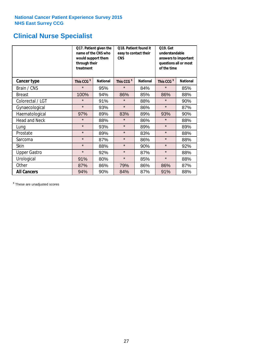# **Clinical Nurse Specialist**

|                     | would support them<br>through their<br>treatment | Q17. Patient given the<br>name of the CNS who | Q18. Patient found it<br>easy to contact their<br><b>CNS</b> |                 | <b>Q19. Get</b><br>understandable<br>answers to important<br>questions all or most<br>of the time |                 |  |
|---------------------|--------------------------------------------------|-----------------------------------------------|--------------------------------------------------------------|-----------------|---------------------------------------------------------------------------------------------------|-----------------|--|
| <b>Cancer type</b>  | This CCG <sup>\$</sup>                           | <b>National</b>                               | This CCG <sup>\$</sup>                                       | <b>National</b> | This CCG <sup>\$</sup>                                                                            | <b>National</b> |  |
| Brain / CNS         | $\star$                                          | 95%                                           | $\star$                                                      | 84%             | $\star$                                                                                           | 85%             |  |
| <b>Breast</b>       | 100%                                             | 94%                                           | 86%                                                          | 85%             | 86%                                                                                               | 88%             |  |
| Colorectal / LGT    | $\star$                                          | 91%                                           | $\star$                                                      | 88%             | $\star$                                                                                           | 90%             |  |
| Gynaecological      | $\star$                                          | 93%                                           | $\star$                                                      | 86%             | $\star$                                                                                           | 87%             |  |
| Haematological      | 97%                                              | 89%                                           | 83%                                                          | 89%             | 93%                                                                                               | 90%             |  |
| Head and Neck       | $\star$                                          | 88%                                           | $\star$                                                      | 86%             | $\star$                                                                                           | 88%             |  |
| Lung                | $\star$                                          | 93%                                           | $\star$                                                      | 89%             | $\star$                                                                                           | 89%             |  |
| Prostate            | $\star$                                          | 89%                                           | $\star$                                                      | 83%             | $\star$                                                                                           | 88%             |  |
| Sarcoma             | $\star$                                          | 87%                                           | $\star$                                                      | 86%             | $\star$                                                                                           | 88%             |  |
| Skin                | $\star$                                          | 88%                                           | $\star$                                                      | 90%             | $\star$                                                                                           | 92%             |  |
| <b>Upper Gastro</b> | $\star$                                          | 92%                                           | $\star$                                                      | 87%             | $\star$                                                                                           | 88%             |  |
| Urological          | 91%                                              | 80%                                           | $\star$                                                      | 85%             | $\star$                                                                                           | 88%             |  |
| Other               | 87%                                              | 86%                                           | 79%                                                          | 86%             | 86%                                                                                               | 87%             |  |
| <b>All Cancers</b>  | 94%                                              | 90%                                           | 84%                                                          | 87%             | 91%                                                                                               | 88%             |  |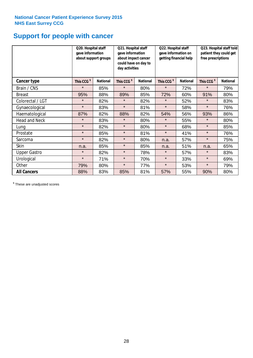# **Support for people with cancer**

|                      | Q20. Hospital staff<br>gave information | about support groups | Q21. Hospital staff<br>gave information<br>about impact cancer<br>could have on day to<br>day activities |                 | Q22. Hospital staff<br>gave information on<br>getting financial help |                 | Q23. Hospital staff told<br>patient they could get<br>free prescriptions |                 |
|----------------------|-----------------------------------------|----------------------|----------------------------------------------------------------------------------------------------------|-----------------|----------------------------------------------------------------------|-----------------|--------------------------------------------------------------------------|-----------------|
| Cancer type          | This CCG <sup>\$</sup>                  | <b>National</b>      | This CCG <sup>\$</sup>                                                                                   | <b>National</b> | This CCG <sup>\$</sup>                                               | <b>National</b> | This CCG <sup>\$</sup>                                                   | <b>National</b> |
| Brain / CNS          | $\star$                                 | 85%                  | $\star$                                                                                                  | 80%             | $\star$                                                              | 72%             | $\star$                                                                  | 79%             |
| <b>Breast</b>        | 95%                                     | 88%                  | 89%                                                                                                      | 85%             | 72%                                                                  | 60%             | 91%                                                                      | 80%             |
| Colorectal / LGT     | $\star$                                 | 82%                  | $\star$                                                                                                  | 82%             | $\star$                                                              | 52%             | $\star$                                                                  | 83%             |
| Gynaecological       | $\star$                                 | 83%                  | $\star$                                                                                                  | 81%             | $\star$                                                              | 58%             | $\star$                                                                  | 76%             |
| Haematological       | 87%                                     | 82%                  | 88%                                                                                                      | 82%             | 54%                                                                  | 56%             | 93%                                                                      | 86%             |
| <b>Head and Neck</b> | $\star$                                 | 83%                  | $\star$                                                                                                  | 80%             | $\star$                                                              | 55%             | $\star$                                                                  | 80%             |
| Lung                 | $\star$                                 | 82%                  | $\star$                                                                                                  | 80%             | $\star$                                                              | 68%             | $\star$                                                                  | 85%             |
| Prostate             | $\star$                                 | 85%                  | $\star$                                                                                                  | 81%             | $\star$                                                              | 41%             | $\star$                                                                  | 76%             |
| Sarcoma              | $\star$                                 | 82%                  | $\star$                                                                                                  | 80%             | n.a.                                                                 | 57%             | $\star$                                                                  | 75%             |
| Skin                 | n.a.                                    | 85%                  | $\star$                                                                                                  | 85%             | n.a.                                                                 | 51%             | n.a.                                                                     | 65%             |
| <b>Upper Gastro</b>  | $\star$                                 | 82%                  | $\star$                                                                                                  | 78%             | $\star$                                                              | 57%             | $\star$                                                                  | 83%             |
| Urological           | $\star$                                 | 71%                  | $\star$                                                                                                  | 70%             | $\star$                                                              | 33%             | $\star$                                                                  | 69%             |
| Other                | 79%                                     | 80%                  | $\star$                                                                                                  | 77%             | $\star$                                                              | 53%             | $\star$                                                                  | 79%             |
| <b>All Cancers</b>   | 88%                                     | 83%                  | 85%                                                                                                      | 81%             | 57%                                                                  | 55%             | 90%                                                                      | 80%             |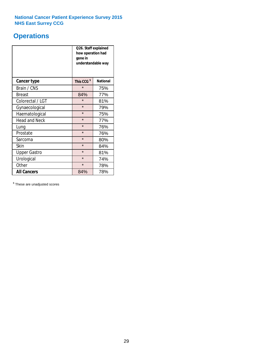# **Operations**

|                      | Q26. Staff explained<br>how operation had<br>gone in<br>understandable way |                 |  |  |
|----------------------|----------------------------------------------------------------------------|-----------------|--|--|
| <b>Cancer type</b>   | This CCG <sup>\$</sup>                                                     | <b>National</b> |  |  |
| Brain / CNS          | $\star$                                                                    | 75%             |  |  |
| <b>Breast</b>        | 84%                                                                        | 77%             |  |  |
| Colorectal / LGT     | $\star$                                                                    | 81%             |  |  |
| Gynaecological       | $\star$                                                                    | 79%             |  |  |
| Haematological       | $\star$                                                                    | 75%             |  |  |
| <b>Head and Neck</b> | $\star$                                                                    | 77%             |  |  |
| Lung                 | $\star$                                                                    | 76%             |  |  |
| Prostate             | $\star$                                                                    | 76%             |  |  |
| Sarcoma              | $\star$                                                                    | 80%             |  |  |
| Skin                 | $\star$                                                                    | 84%             |  |  |
| <b>Upper Gastro</b>  | $\star$                                                                    | 81%             |  |  |
| Urological           | $\star$                                                                    | 74%             |  |  |
| Other                | $\star$<br>78%                                                             |                 |  |  |
| <b>All Cancers</b>   | 84%                                                                        | 78%             |  |  |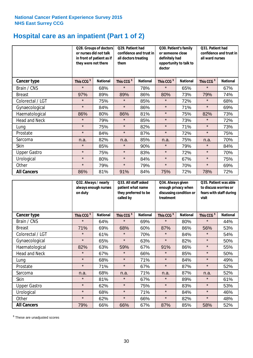# **Hospital care as an inpatient (Part 1 of 2)**

|                      | Q28. Groups of doctors<br>or nurses did not talk<br>in front of patient as if<br>they were not there |                 | Q29. Patient had<br>confidence and trust in<br>all doctors treating<br>them |                 | Q30. Patient's family<br>or someone close<br>definitely had<br>opportunity to talk to<br>doctor |                 | Q31. Patient had<br>confidence and trust in<br>all ward nurses |                 |
|----------------------|------------------------------------------------------------------------------------------------------|-----------------|-----------------------------------------------------------------------------|-----------------|-------------------------------------------------------------------------------------------------|-----------------|----------------------------------------------------------------|-----------------|
| Cancer type          | This CCG <sup>\$</sup>                                                                               | <b>National</b> | This CCG <sup>\$</sup>                                                      | <b>National</b> | This CCG <sup>\$</sup>                                                                          | <b>National</b> | This CCG <sup>\$</sup>                                         | <b>National</b> |
| Brain / CNS          | $\star$                                                                                              | 68%             | $\star$                                                                     | 78%             | $\star$                                                                                         | 65%             | $\star$                                                        | 67%             |
| <b>Breast</b>        | 97%                                                                                                  | 89%             | 89%                                                                         | 86%             | 80%                                                                                             | 73%             | 79%                                                            | 74%             |
| Colorectal / LGT     | $\star$                                                                                              | 75%             | $\star$                                                                     | 85%             | $\star$                                                                                         | 72%             | $\star$                                                        | 68%             |
| Gynaecological       | $\star$                                                                                              | 84%             | $\star$                                                                     | 86%             | $\star$                                                                                         | 71%             | $\star$                                                        | 69%             |
| Haematological       | 86%                                                                                                  | 80%             | 86%                                                                         | 81%             | $\star$                                                                                         | 75%             | 82%                                                            | 73%             |
| <b>Head and Neck</b> | $\star$                                                                                              | 79%             | $\star$                                                                     | 85%             | $\star$                                                                                         | 73%             | $\star$                                                        | 72%             |
| Lung                 | $\star$                                                                                              | 75%             | $\star$                                                                     | 82%             | $\star$                                                                                         | 71%             | $\star$                                                        | 73%             |
| Prostate             | $\star$                                                                                              | 84%             | $\star$                                                                     | 87%             | $\star$                                                                                         | 72%             | $\star$                                                        | 75%             |
| Sarcoma              | n.a.                                                                                                 | 82%             | n.a.                                                                        | 85%             | n.a.                                                                                            | 75%             | n.a.                                                           | 70%             |
| Skin                 | $\star$                                                                                              | 85%             | $\star$                                                                     | 90%             | $\star$                                                                                         | 79%             | $\star$                                                        | 84%             |
| <b>Upper Gastro</b>  | $\star$                                                                                              | 75%             | $\star$                                                                     | 83%             | $\star$                                                                                         | 72%             | $\star$                                                        | 70%             |
| Urological           | $\star$                                                                                              | 80%             | $\star$                                                                     | 84%             | $\star$                                                                                         | 67%             | $\star$                                                        | 75%             |
| Other                | $\star$                                                                                              | 79%             | $\star$                                                                     | 79%             | $\star$                                                                                         | 70%             | $\star$                                                        | 69%             |
| <b>All Cancers</b>   | 86%                                                                                                  | 81%             | 91%                                                                         | 84%             | 75%                                                                                             | 72%             | 78%                                                            | 72%             |

|                      | Q32. Always / nearly<br>always enough nurses<br>on duty |                 | Q33. All staff asked<br>patient what name<br>they preferred to be<br>called by |                 | Q34. Always given<br>enough privacy when<br>discussing condition or<br>treatment |                 | Q35. Patient was able<br>to discuss worries or<br>fears with staff during<br>visit |                 |
|----------------------|---------------------------------------------------------|-----------------|--------------------------------------------------------------------------------|-----------------|----------------------------------------------------------------------------------|-----------------|------------------------------------------------------------------------------------|-----------------|
| Cancer type          | This CCG <sup>\$</sup>                                  | <b>National</b> | This CCG <sup>\$</sup>                                                         | <b>National</b> | This CCG <sup>\$</sup>                                                           | <b>National</b> | This CCG <sup>\$</sup>                                                             | <b>National</b> |
| Brain / CNS          | $\star$                                                 | 64%             | $\star$                                                                        | 69%             | $\star$                                                                          | 80%             | $\star$                                                                            | 44%             |
| <b>Breast</b>        | 71%                                                     | 69%             | 68%                                                                            | 60%             | 87%                                                                              | 86%             | 56%                                                                                | 53%             |
| Colorectal / LGT     | $\star$                                                 | 61%             | $\star$                                                                        | 70%             | $\star$                                                                          | 84%             | $\star$                                                                            | 54%             |
| Gynaecological       | $\star$                                                 | 65%             | $\star$                                                                        | 63%             | $\star$                                                                          | 82%             | $\star$                                                                            | 50%             |
| Haematological       | 82%                                                     | 63%             | 59%                                                                            | 67%             | 91%                                                                              | 86%             | $\star$                                                                            | 55%             |
| <b>Head and Neck</b> | $\star$                                                 | 67%             | $\star$                                                                        | 66%             | $\star$                                                                          | 85%             | $\star$                                                                            | 50%             |
| Lung                 | $\star$                                                 | 68%             | $\star$                                                                        | 71%             | $\star$                                                                          | 84%             | $\star$                                                                            | 49%             |
| Prostate             | $\star$                                                 | 71%             | $\star$                                                                        | 67%             | $\star$                                                                          | 87%             | $\star$                                                                            | 52%             |
| Sarcoma              | n.a.                                                    | 68%             | n.a.                                                                           | 71%             | n.a.                                                                             | 87%             | n.a.                                                                               | 52%             |
| Skin                 | $\star$                                                 | 81%             | $\star$                                                                        | 67%             | $\star$                                                                          | 89%             | $\star$                                                                            | 61%             |
| <b>Upper Gastro</b>  | $\star$                                                 | 62%             | $\star$                                                                        | 75%             | $\star$                                                                          | 83%             | $\star$                                                                            | 53%             |
| Urological           | $\star$                                                 | 68%             | $\star$                                                                        | 71%             | $\star$                                                                          | 84%             | $\star$                                                                            | 46%             |
| Other                | $\star$                                                 | 62%             | $\star$                                                                        | 66%             | $\star$                                                                          | 82%             | $\star$                                                                            | 48%             |
| <b>All Cancers</b>   | 79%                                                     | 66%             | 66%                                                                            | 67%             | 87%                                                                              | 85%             | 58%                                                                                | 52%             |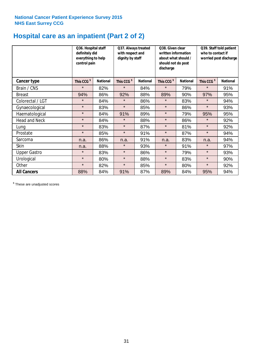# **Hospital care as an inpatient (Part 2 of 2)**

|                      | Q36. Hospital staff<br>definitely did<br>everything to help<br>control pain |                 | Q37. Always treated<br>with respect and<br>dignity by staff |                 | Q38. Given clear<br>Q39. Staff told patient<br>written information<br>who to contact if<br>about what should /<br>worried post discharge<br>should not do post<br>discharge |                 |                        |                 |  |
|----------------------|-----------------------------------------------------------------------------|-----------------|-------------------------------------------------------------|-----------------|-----------------------------------------------------------------------------------------------------------------------------------------------------------------------------|-----------------|------------------------|-----------------|--|
| Cancer type          | This CCG <sup>\$</sup>                                                      | <b>National</b> | This CCG <sup>\$</sup>                                      | <b>National</b> | This CCG <sup>\$</sup>                                                                                                                                                      | <b>National</b> | This CCG <sup>\$</sup> | <b>National</b> |  |
| Brain / CNS          | $\star$                                                                     | 82%             | $\star$                                                     | 84%             | $\star$                                                                                                                                                                     | 79%             | $\star$                | 91%             |  |
| <b>Breast</b>        | 94%                                                                         | 86%             | 92%                                                         | 88%             | 89%                                                                                                                                                                         | 90%             | 97%                    | 95%             |  |
| Colorectal / LGT     | $\star$                                                                     | 84%             | $\star$                                                     | 86%             | $\star$                                                                                                                                                                     | 83%             | $\star$                | 94%             |  |
| Gynaecological       | $\star$                                                                     | 83%             | $\star$                                                     | 85%             | $\star$                                                                                                                                                                     | 86%             | $\star$                | 93%             |  |
| Haematological       | $\star$                                                                     | 84%             | 91%                                                         | 89%             | $\star$                                                                                                                                                                     | 79%             | 95%                    | 95%             |  |
| <b>Head and Neck</b> | $\star$                                                                     | 84%             | $\star$                                                     | 88%             | $\star$                                                                                                                                                                     | 86%             | $\star$                | 92%             |  |
| Lung                 | $\star$                                                                     | 83%             | $\star$                                                     | 87%             | $\star$                                                                                                                                                                     | 81%             | $\star$                | 92%             |  |
| Prostate             | $\star$                                                                     | 85%             | $\star$                                                     | 91%             | $\star$                                                                                                                                                                     | 87%             | $\star$                | 94%             |  |
| Sarcoma              | n.a.                                                                        | 86%             | n.a.                                                        | 91%             | n.a.                                                                                                                                                                        | 83%             | n.a.                   | 94%             |  |
| Skin                 | n.a.                                                                        | 88%             | $\star$                                                     | 93%             | $\star$                                                                                                                                                                     | 91%             | $\star$                | 97%             |  |
| <b>Upper Gastro</b>  | $\star$                                                                     | 83%             | $\star$                                                     | 86%             | $\star$                                                                                                                                                                     | 79%             | $\star$                | 93%             |  |
| Urological           | $\star$                                                                     | 80%             | $\star$                                                     | 88%             | $\star$                                                                                                                                                                     | 83%             | $\star$                | 90%             |  |
| Other                | $\star$                                                                     | 82%             | $\star$                                                     | 85%             | $\star$                                                                                                                                                                     | 80%             | $\star$                | 92%             |  |
| <b>All Cancers</b>   | 88%                                                                         | 84%             | 91%                                                         | 87%             | 89%                                                                                                                                                                         | 84%             | 95%                    | 94%             |  |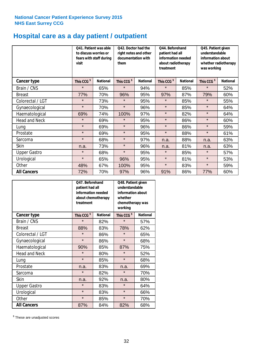# **Hospital care as a day patient / outpatient**

|                      | visit                  | Q41. Patient was able<br>to discuss worries or<br>fears with staff during |                        | Q42. Doctor had the<br>right notes and other<br>documentation with<br>them |                        | Q44. Beforehand<br>patient had all<br>information needed<br>about radiotherapy<br>treatment |                        | Q45. Patient given<br>understandable<br>information about<br>whether radiotherapy<br>was working |  |
|----------------------|------------------------|---------------------------------------------------------------------------|------------------------|----------------------------------------------------------------------------|------------------------|---------------------------------------------------------------------------------------------|------------------------|--------------------------------------------------------------------------------------------------|--|
| <b>Cancer type</b>   | This CCG <sup>\$</sup> | <b>National</b>                                                           | This CCG <sup>\$</sup> | <b>National</b>                                                            | This CCG <sup>\$</sup> | <b>National</b>                                                                             | This CCG <sup>\$</sup> | <b>National</b>                                                                                  |  |
| Brain / CNS          | $\star$                | 65%                                                                       | $\star$                | 94%                                                                        | $\star$                | 85%                                                                                         | $\star$                | 52%                                                                                              |  |
| <b>Breast</b>        | 77%                    | 70%                                                                       | 96%                    | 95%                                                                        | 97%                    | 87%                                                                                         | 79%                    | 60%                                                                                              |  |
| Colorectal / LGT     | $\star$                | 73%                                                                       | $\star$                | 95%                                                                        | $\star$                | 85%                                                                                         | $\star$                | 55%                                                                                              |  |
| Gynaecological       | $\star$                | 70%                                                                       | $\star$                | 96%                                                                        | $\star$                | 85%                                                                                         | $\star$                | 64%                                                                                              |  |
| Haematological       | 69%                    | 74%                                                                       | 100%                   | 97%                                                                        | $\star$                | 82%                                                                                         | $\star$                | 64%                                                                                              |  |
| <b>Head and Neck</b> | $\star$                | 69%                                                                       | $\star$                | 95%                                                                        | $\star$                | 86%                                                                                         | $\star$                | 60%                                                                                              |  |
| Lung                 | $\star$                | 69%                                                                       | $\star$                | 96%                                                                        | $\star$                | 86%                                                                                         | $\star$                | 59%                                                                                              |  |
| Prostate             | $\star$                | 69%                                                                       | $\star$                | 95%                                                                        | $\star$                | 88%                                                                                         | $\star$                | 61%                                                                                              |  |
| Sarcoma              | $\star$                | 68%                                                                       | $\star$                | 97%                                                                        | n.a.                   | 88%                                                                                         | n.a.                   | 63%                                                                                              |  |
| Skin                 | n.a.                   | 73%                                                                       | $\star$                | 96%                                                                        | n.a.                   | 81%                                                                                         | n.a.                   | 63%                                                                                              |  |
| <b>Upper Gastro</b>  | $\star$                | 68%                                                                       | $\star$                | 95%                                                                        | $\star$                | 85%                                                                                         | $\star$                | 57%                                                                                              |  |
| Urological           | $\star$                | 65%                                                                       | 96%                    | 95%                                                                        | $\star$                | 81%                                                                                         | $\star$                | 53%                                                                                              |  |
| Other                | 48%                    | 67%                                                                       | 100%                   | 95%                                                                        | $\star$                | 83%                                                                                         | $\star$                | 59%                                                                                              |  |
| <b>All Cancers</b>   | 72%                    | 70%                                                                       | 97%                    | 96%                                                                        | 91%                    | 86%                                                                                         | 77%                    | 60%                                                                                              |  |

|                      | O47. Beforehand<br>patient had all<br>information needed<br>about chemotherapy<br>treatment |                 | Q48. Patient given<br>understandable<br>information about<br>whether<br>chemotherapy was<br>working |                 |
|----------------------|---------------------------------------------------------------------------------------------|-----------------|-----------------------------------------------------------------------------------------------------|-----------------|
| <b>Cancer type</b>   | This CCG <sup>\$</sup>                                                                      | <b>National</b> | This CCG <sup>\$</sup>                                                                              | <b>National</b> |
| Brain / CNS          | $\star$                                                                                     | 82%             | $\star$                                                                                             | 57%             |
| <b>Breast</b>        | 88%                                                                                         | 83%             | 78%                                                                                                 | 62%             |
| Colorectal / LGT     | $\star$                                                                                     | 86%             | $\star$                                                                                             | 65%             |
| Gynaecological       | $\star$                                                                                     | 86%             | $\star$                                                                                             | 68%             |
| Haematological       | 90%                                                                                         | 85%             | 87%                                                                                                 | 75%             |
| <b>Head and Neck</b> | $\star$                                                                                     | 80%             | $\star$                                                                                             | 52%             |
| Lung                 | $\star$                                                                                     | 85%             | $\star$                                                                                             | 68%             |
| Prostate             | n.a.                                                                                        | 83%             | n.a.                                                                                                | 69%             |
| Sarcoma              | $\star$                                                                                     | 82%             | $\star$                                                                                             | 70%             |
| Skin                 | n.a.                                                                                        | 92%             | n.a.                                                                                                | 80%             |
| <b>Upper Gastro</b>  | $\star$                                                                                     | 83%             | $\star$                                                                                             | 64%             |
| Urological           | $\star$                                                                                     | 83%             | $\star$                                                                                             | 66%             |
| Other                | $\star$                                                                                     | 85%             | $\star$                                                                                             | 70%             |
| <b>All Cancers</b>   | 87%                                                                                         | 84%             | 82%                                                                                                 | 68%             |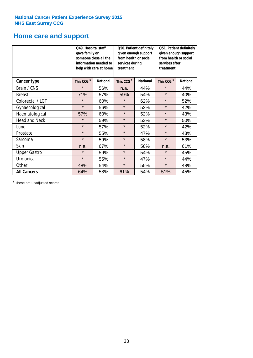# **Home care and support**

|                      | Q49. Hospital staff<br>gave family or<br>someone close all the<br>information needed to<br>help with care at home |                 | from health or social<br>services during<br>treatment | Q50. Patient definitely<br>given enough support | Q51. Patient definitely<br>given enough support<br>from health or social<br>services after<br>treatment |                 |  |
|----------------------|-------------------------------------------------------------------------------------------------------------------|-----------------|-------------------------------------------------------|-------------------------------------------------|---------------------------------------------------------------------------------------------------------|-----------------|--|
| <b>Cancer type</b>   | This CCG <sup>\$</sup>                                                                                            | <b>National</b> | This CCG <sup>\$</sup>                                | <b>National</b>                                 | This CCG <sup>\$</sup>                                                                                  | <b>National</b> |  |
| Brain / CNS          | $\star$                                                                                                           | 56%             | n.a.                                                  | 44%                                             | $\star$                                                                                                 | 44%             |  |
| <b>Breast</b>        | 71%                                                                                                               | 57%             | 59%                                                   | 54%                                             | $\star$                                                                                                 | 40%             |  |
| Colorectal / LGT     | $\star$                                                                                                           | 60%             | $\star$                                               | 62%                                             | $\star$                                                                                                 | 52%             |  |
| Gynaecological       | $\star$                                                                                                           | 56%             | $\star$                                               | 52%                                             | $\star$                                                                                                 | 42%             |  |
| Haematological       | 57%                                                                                                               | 60%             | $\star$                                               | 52%                                             | $\star$                                                                                                 | 43%             |  |
| <b>Head and Neck</b> | $\star$                                                                                                           | 59%             | $\star$                                               | 53%                                             | $\star$                                                                                                 | 50%             |  |
| Lung                 | $\star$                                                                                                           | 57%             | $\star$                                               | 52%                                             | $\star$                                                                                                 | 42%             |  |
| Prostate             | $\star$                                                                                                           | 55%             | $\star$                                               | 47%                                             | $\star$                                                                                                 | 43%             |  |
| Sarcoma              | $\star$                                                                                                           | 59%             | $\star$                                               | 58%                                             | $\star$                                                                                                 | 53%             |  |
| Skin                 | n.a.                                                                                                              | 67%             | $\star$                                               | 58%                                             | n.a.                                                                                                    | 61%             |  |
| <b>Upper Gastro</b>  | $\star$                                                                                                           | 59%             | $\star$                                               | 54%                                             | $\star$                                                                                                 | 45%             |  |
| Urological           | $\star$                                                                                                           | 55%             | $\star$                                               | 47%                                             | $\star$                                                                                                 | 44%             |  |
| Other                | 48%                                                                                                               | 54%             | $\star$                                               | 55%                                             | $\star$                                                                                                 | 48%             |  |
| <b>All Cancers</b>   | 64%                                                                                                               | 58%             | 61%                                                   | 54%                                             | 51%                                                                                                     | 45%             |  |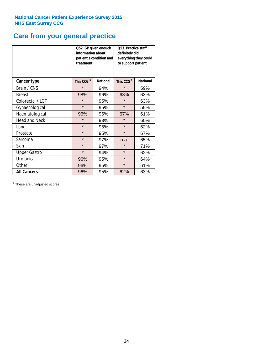# **Care from your general practice**

|                      | information about<br>treatment | Q52. GP given enough<br>patient's condition and | O53. Practice staff<br>definitely did<br>everything they could<br>to support patient |                 |  |
|----------------------|--------------------------------|-------------------------------------------------|--------------------------------------------------------------------------------------|-----------------|--|
| <b>Cancer type</b>   | This CCG <sup>\$</sup>         | <b>National</b>                                 | This CCG <sup>\$</sup>                                                               | <b>National</b> |  |
| Brain / CNS          | $\star$                        | 94%                                             | $\star$                                                                              | 59%             |  |
| <b>Breast</b>        | 98%                            | 96%                                             | 63%                                                                                  | 63%             |  |
| Colorectal / LGT     | $\star$                        | 95%                                             | $\star$                                                                              | 63%             |  |
| Gynaecological       | $\star$                        | 95%                                             | $\star$                                                                              | 59%             |  |
| Haematological       | 96%                            | 96%                                             | 67%                                                                                  | 61%             |  |
| <b>Head and Neck</b> | $\star$                        | 93%                                             | $\star$                                                                              | 60%             |  |
| Lung                 | $\star$                        | 95%                                             | $\star$                                                                              | 62%             |  |
| Prostate             | $\star$                        | 95%                                             | $\star$                                                                              | 67%             |  |
| Sarcoma              | $\star$                        | 97%                                             | n.a.                                                                                 | 65%             |  |
| Skin                 | $\star$                        | 97%                                             | $\star$                                                                              | 71%             |  |
| <b>Upper Gastro</b>  | $\star$                        | 94%                                             | $\star$                                                                              | 62%             |  |
| Urological           | 96%                            | 95%                                             | $\star$                                                                              | 64%             |  |
| Other                | 96%                            | 95%                                             | $\star$                                                                              | 61%             |  |
| <b>All Cancers</b>   | 96%                            | 95%                                             | 62%                                                                                  | 63%             |  |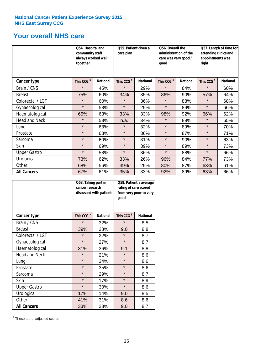# **Your overall NHS care**

|                      | Q54. Hospital and<br>community staff<br>always worked well<br>together |                 | Q55. Patient given a<br>care plan |                 | Q56. Overall the<br>administration of the<br>care was very good /<br>qood |                 | Q57. Length of time for<br>attending clinics and<br>appointments was<br>right |                 |
|----------------------|------------------------------------------------------------------------|-----------------|-----------------------------------|-----------------|---------------------------------------------------------------------------|-----------------|-------------------------------------------------------------------------------|-----------------|
| <b>Cancer type</b>   | This CCG <sup>\$</sup>                                                 | <b>National</b> | This CCG <sup>\$</sup>            | <b>National</b> | This CCG <sup>\$</sup>                                                    | <b>National</b> | This CCG <sup>\$</sup>                                                        | <b>National</b> |
| Brain / CNS          | $\star$                                                                | 45%             | $\star$                           | 29%             | $\star$                                                                   | 84%             | $\star$                                                                       | 60%             |
| <b>Breast</b>        | 75%                                                                    | 60%             | 34%                               | 35%             | 86%                                                                       | 90%             | 57%                                                                           | 64%             |
| Colorectal / LGT     | $\star$                                                                | 60%             | $\star$                           | 36%             | $\star$                                                                   | 88%             | $\star$                                                                       | 68%             |
| Gynaecological       | $\star$                                                                | 58%             | $\star$                           | 29%             | $\star$                                                                   | 89%             | $\star$                                                                       | 66%             |
| Haematological       | 65%                                                                    | 63%             | 33%                               | 33%             | 98%                                                                       | 92%             | 66%                                                                           | 62%             |
| <b>Head and Neck</b> | $\star$                                                                | 58%             | n.a.                              | 34%             | $\star$                                                                   | 89%             | $\star$                                                                       | 65%             |
| Lung                 | $\star$                                                                | 63%             | $\star$                           | 32%             | $\star$                                                                   | 89%             | $\star$                                                                       | 70%             |
| Prostate             | $\star$                                                                | 63%             | $\star$                           | 36%             | $\star$                                                                   | 87%             | $\star$                                                                       | 71%             |
| Sarcoma              | $\star$                                                                | 60%             | $\star$                           | 31%             | $\star$                                                                   | 90%             | $\star$                                                                       | 63%             |
| Skin                 | $\star$                                                                | 69%             | $\star$                           | 39%             | $\star$                                                                   | 89%             | $\star$                                                                       | 73%             |
| <b>Upper Gastro</b>  | $\star$                                                                | 58%             | $\star$                           | 36%             | $\star$                                                                   | 88%             | $\star$                                                                       | 66%             |
| Urological           | 73%                                                                    | 62%             | 33%                               | 26%             | 96%                                                                       | 84%             | 77%                                                                           | 73%             |
| Other                | 68%                                                                    | 56%             | 39%                               | 29%             | 80%                                                                       | 87%             | 63%                                                                           | 61%             |
| <b>All Cancers</b>   | 67%                                                                    | 61%             | 35%                               | 33%             | 92%                                                                       | 89%             | 63%                                                                           | 66%             |

|                      | Q58. Taking part in<br>cancer research | discussed with patient | Q59. Patient's average<br>rating of care scored<br>from very poor to very<br>good |                 |  |
|----------------------|----------------------------------------|------------------------|-----------------------------------------------------------------------------------|-----------------|--|
| <b>Cancer type</b>   | This CCG <sup>\$</sup>                 | <b>National</b>        | This CCG <sup>\$</sup>                                                            | <b>National</b> |  |
| Brain / CNS          | $\star$                                | 32%                    | $\star$                                                                           | 8.5             |  |
| <b>Breast</b>        | 39%                                    | 28%                    | 9.0                                                                               | 8.8             |  |
| Colorectal / LGT     | $\star$                                | 22%                    | $\star$                                                                           | 8.7             |  |
| Gynaecological       | $\star$                                | 27%                    | $\star$                                                                           | 8.7             |  |
| Haematological       | 31%                                    | 36%                    | 9.1                                                                               | 8.8             |  |
| <b>Head and Neck</b> | $\star$                                | 21%                    | $\star$                                                                           | 8.6             |  |
| Lung                 | $\star$                                | 34%                    | $\star$                                                                           | 8.6             |  |
| Prostate             | $\star$                                | 35%                    | $\star$                                                                           | 8.6             |  |
| Sarcoma              | $\star$                                | 29%                    | $\star$                                                                           | 8.7             |  |
| <b>Skin</b>          | $\star$                                | 17%                    | $\star$                                                                           | 8.9             |  |
| <b>Upper Gastro</b>  | $\star$                                | 30%                    | $\star$                                                                           | 8.6             |  |
| Urological           | 17%                                    | 14%                    | 9.0                                                                               | 8.5             |  |
| Other                | 41%                                    | 31%                    | 8.6                                                                               | 8.6             |  |
| <b>All Cancers</b>   | 33%                                    | 28%                    | 9.0                                                                               | 8.7             |  |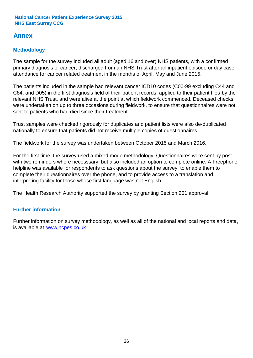# **Annex**

# **Methodology**

The sample for the survey included all adult (aged 16 and over) NHS patients, with a confirmed primary diagnosis of cancer, discharged from an NHS Trust after an inpatient episode or day case attendance for cancer related treatment in the months of April, May and June 2015.

The patients included in the sample had relevant cancer ICD10 codes (C00-99 excluding C44 and C84, and D05) in the first diagnosis field of their patient records, applied to their patient files by the relevant NHS Trust, and were alive at the point at which fieldwork commenced. Deceased checks were undertaken on up to three occasions during fieldwork, to ensure that questionnaires were not sent to patients who had died since their treatment.

Trust samples were checked rigorously for duplicates and patient lists were also de-duplicated nationally to ensure that patients did not receive multiple copies of questionnaires.

The fieldwork for the survey was undertaken between October 2015 and March 2016.

For the first time, the survey used a mixed mode methodology. Questionnaires were sent by post with two reminders where necesssary, but also included an option to complete online. A Freephone helpline was available for respondents to ask questions about the survey, to enable them to complete their questionnaires over the phone, and to provide access to a translation and interpreting facility for those whose first language was not English.

The Health Research Authority supported the survey by granting Section 251 approval.

# **Further information**

Further information on survey methodology, as well as all of the national and local reports and data, is available at www.ncpes.co.uk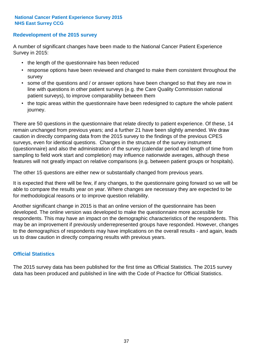### **Redevelopment of the 2015 survey**

A number of significant changes have been made to the National Cancer Patient Experience Survey in 2015:

- the length of the questionnaire has been reduced
- response options have been reviewed and changed to make them consistent throughout the survey
- some of the questions and / or answer options have been changed so that they are now in line with questions in other patient surveys (e.g. the Care Quality Commission national patient surveys), to improve comparability between them
- the topic areas within the questionnaire have been redesigned to capture the whole patient journey.

There are 50 questions in the questionnaire that relate directly to patient experience. Of these, 14 remain unchanged from previous years; and a further 21 have been slightly amended. We draw caution in directly comparing data from the 2015 survey to the findings of the previous CPES surveys, even for identical questions. Changes in the structure of the survey instrument (questionnaire) and also the administration of the survey (calendar period and length of time from sampling to field work start and completion) may influence nationwide averages, although these features will not greatly impact on relative comparisons (e.g. between patient groups or hospitals).

The other 15 questions are either new or substantially changed from previous years.

It is expected that there will be few, if any changes, to the questionnaire going forward so we will be able to compare the results year on year. Where changes are necessary they are expected to be for methodological reasons or to improve question reliability.

Another significant change in 2015 is that an online version of the questionnaire has been developed. The online version was developed to make the questionnaire more accessible for respondents. This may have an impact on the demographic characteristics of the respondents. This may be an improvement if previously underrepresented groups have responded. However, changes to the demographics of respondents may have implications on the overall results - and again, leads us to draw caution in directly comparing results with previous years.

## **Official Statistics**

The 2015 survey data has been published for the first time as Official Statistics. The 2015 survey data has been produced and published in line with the Code of Practice for Official Statistics.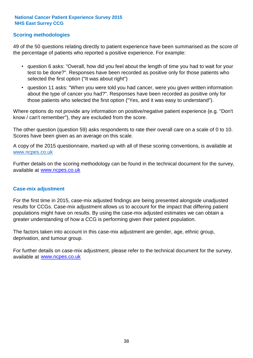### **Scoring methodologies**

49 of the 50 questions relating directly to patient experience have been summarised as the score of the percentage of patients who reported a positive experience. For example:

- question 6 asks: "Overall, how did you feel about the length of time you had to wait for your test to be done?". Responses have been recorded as positive only for those patients who selected the first option ("It was about right")
- question 11 asks: "When you were told you had cancer, were you given written information about the type of cancer you had?". Responses have been recorded as positive only for those patients who selected the first option ("Yes, and it was easy to understand").

Where options do not provide any information on positive/negative patient experience (e.g. "Don't know / can't remember"), they are excluded from the score.

The other question (question 59) asks respondents to rate their overall care on a scale of 0 to 10. Scores have been given as an average on this scale.

A copy of the 2015 questionnaire, marked up with all of these scoring conventions, is available at www.ncpes.co.uk

Further details on the scoring methodology can be found in the technical document for the survey, available at <u>www.ncpes.co.uk</u>

#### **Case-mix adjustment**

For the first time in 2015, case-mix adjusted findings are being presented alongside unadjusted results for CCGs. Case-mix adjustment allows us to account for the impact that differing patient populations might have on results. By using the case-mix adjusted estimates we can obtain a greater understanding of how a CCG is performing given their patient population.

The factors taken into account in this case-mix adjustment are gender, age, ethnic group, deprivation, and tumour group.

For further details on case-mix adjustment, please refer to the technical document for the survey, available at www.ncpes.co.uk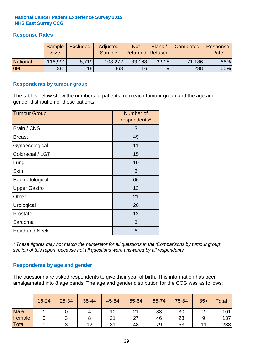# **Response Rates**

|                 | <b>Sample</b><br><b>Size</b> | <b>Excluded</b> | Adjusted<br>Sample | <b>Not</b><br><b>Returned Refused</b> | <b>Blank</b> | Completed | Response<br>Rate |
|-----------------|------------------------------|-----------------|--------------------|---------------------------------------|--------------|-----------|------------------|
| <b>National</b> | 116,991                      | 8.719           | 108,272            | 33,168                                | 3.918        | 71,186    | 66%              |
| <b>09L</b>      | 381                          | 18 <sup>1</sup> | 363                | <b>116</b>                            |              | 238       | 66%              |

#### **Respondents by tumour group**

The tables below show the numbers of patients from each tumour group and the age and gender distribution of these patients.

| <b>Tumour Group</b>  | Number of<br>respondents* |
|----------------------|---------------------------|
| Brain / CNS          | 3                         |
| <b>Breast</b>        | 49                        |
| Gynaecological       | 11                        |
| Colorectal / LGT     | 15                        |
| Lung                 | 10                        |
| <b>Skin</b>          | 3                         |
| Haematological       | 66                        |
| <b>Upper Gastro</b>  | 13                        |
| Other                | 21                        |
| Urological           | 26                        |
| Prostate             | 12                        |
| Sarcoma              | 3                         |
| <b>Head and Neck</b> | 6                         |

*\* These figures may not match the numerator for all questions in the 'Comparisons by tumour group' section of this report, because not all questions were answered by all respondents.*

## **Respondents by age and gender**

The questionnaire asked respondents to give their year of birth. This information has been amalgamated into 8 age bands. The age and gender distribution for the CCG was as follows:

|             | 16-24 | 25-34 | 35-44 | 45-54 | 55-64 | 65-74 | 75-84 | $85+$ | <b>Total</b> |
|-------------|-------|-------|-------|-------|-------|-------|-------|-------|--------------|
| <b>Male</b> |       |       |       | 10    | 21    | 33    | 30    |       | 101          |
| Female      |       |       |       | 21    | 27    | 46    | 23    |       | 137          |
| Total       |       |       | 12    | 31    | 48    | 79    | 53    |       | 238          |